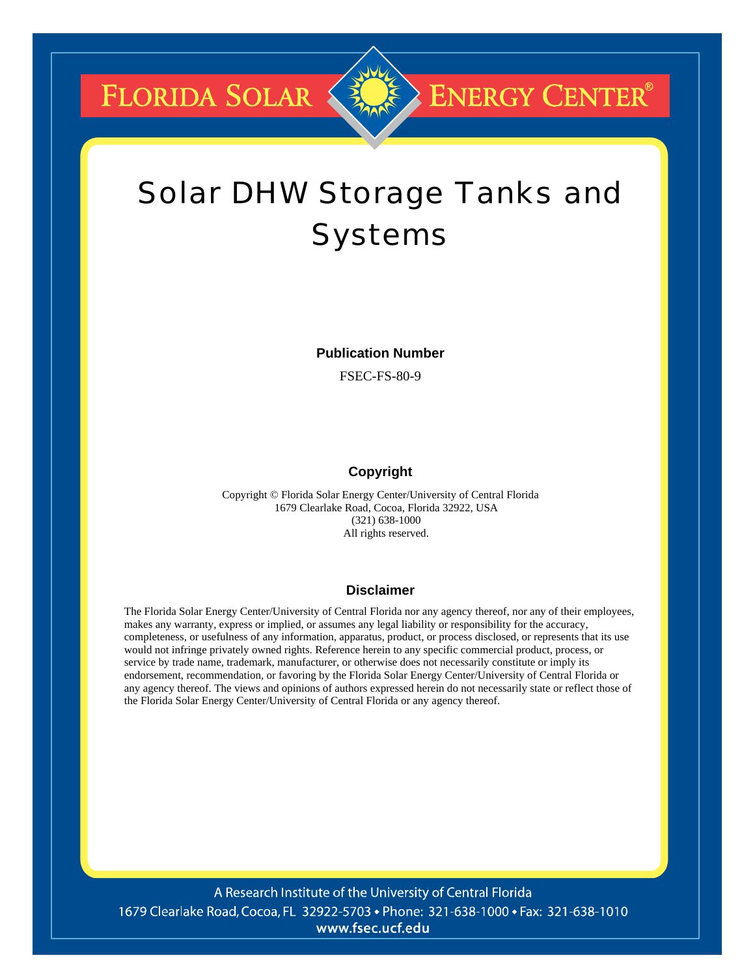**FLORIDA SOLAR &** 

## **ENERGY CENTER®**

# Solar DHW Storage Tanks and Systems

**Publication Number** 

FSEC-FS-80-9

### **Copyright**

Copyright © Florida Solar Energy Center/University of Central Florida 1679 Clearlake Road, Cocoa, Florida 32922, USA (321) 638-1000 All rights reserved.

#### **Disclaimer**

The Florida Solar Energy Center/University of Central Florida nor any agency thereof, nor any of their employees, makes any warranty, express or implied, or assumes any legal liability or responsibility for the accuracy, completeness, or usefulness of any information, apparatus, product, or process disclosed, or represents that its use would not infringe privately owned rights. Reference herein to any specific commercial product, process, or service by trade name, trademark, manufacturer, or otherwise does not necessarily constitute or imply its endorsement, recommendation, or favoring by the Florida Solar Energy Center/University of Central Florida or any agency thereof. The views and opinions of authors expressed herein do not necessarily state or reflect those of the Florida Solar Energy Center/University of Central Florida or any agency thereof.

A Research Institute of the University of Central Florida 1679 Clearlake Road, Cocoa, FL 32922-5703 • Phone: 321-638-1000 • Fax: 321-638-1010 www.fsec.ucf.edu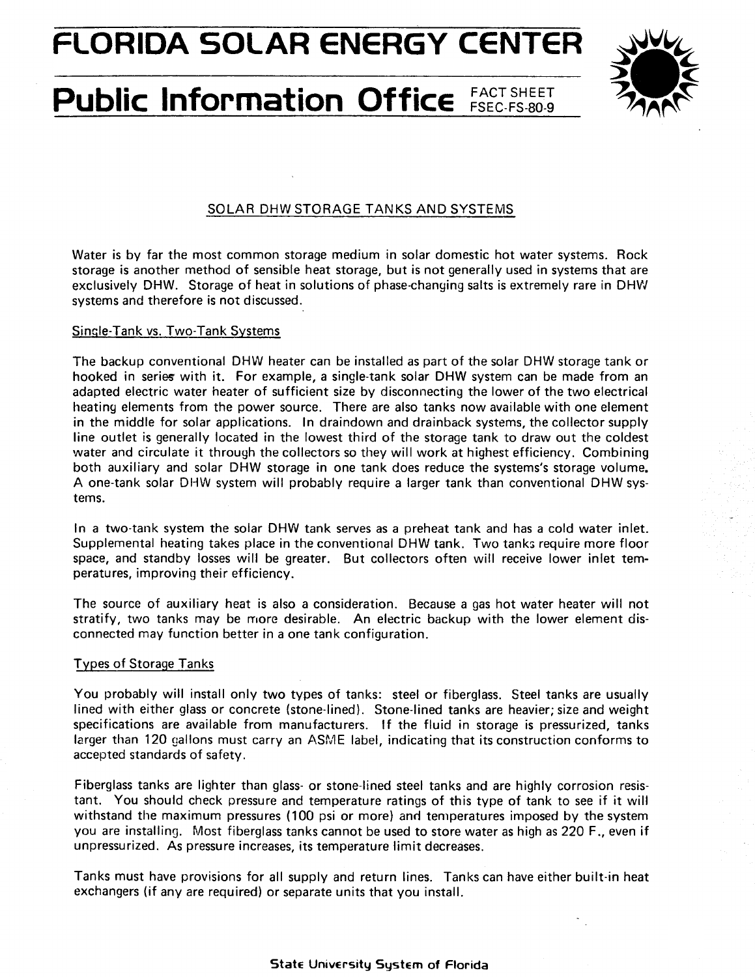**FLORIDA SOLAR ENERGY CENTER** 

# **Public Information Office FACT SHEET**



### SOLAR DHW STORAGE TANKS AND SYSTEMS

Water is by far the most common storage medium in solar domestic hot water systems. Rock storage is another method of sensible heat storage, but is not generally used in systems that are exclusively DHW. Storage of heat in solutions of phase-changing salts is extremely rare in DHW systems and therefore is not discussed.

#### Sinsle-Tank vs. Two-Tank Systems

The backup conventional DHW heater can be installed as part of the solar DHW storage tank or hooked in series with it. For example, a single-tank solar DHW system can be made from an adapted electric water heater of sufficient size by disconnecting the lower of the two electrical heatiny elements from the power source. There are also tanks now available with one element in the middle for solar applications. In draindown and drainback systems, the collector supply line outlet is generally located in the lowest third of the storage tank to draw out the coldest water and circulate it through the collectors so they will work at highest efficiency. Combining both auxiliary and solar DHW storage in one tank does reduce the systems's storage volume. A one-tank solar DHW system will probably require a larger tank than conventional DHW systems.

In a two-tank system the solar DHW tank serves as a preheat tank and has a cold water inlet. Supplemental heating takes place in the conventional DHW tank. Two tanks require more floor space, and standby losses will be greater. But collectors often will receive lower inlet temperatures, improving their efficiency.

The source of auxiliary heat is also a consideration. Because a gas hot water heater will not stratify, two tanks may be more desirable. An electric backup with the lower element disconnected may function better in a one tank configuration.

#### Types of Storage Tanks

You probably will install only two types of tanks: steel or fiberglass. Steel tanks are usually lined with either glass or concrete (stone-lined). Stone-lined tanks are heavier; size and weight specifications are available from manufacturers. If the fluid in storage is pressurized, tanks larger than 120 gallons must carry an ASME label, indicating that its construction conforms to accepted standards of safety.

Fiberglass tanks are lighter than glass- or stone-lined steel tanks and are highly corrosion resistant. You should check pressure and temperature ratings of this type of tank to see if it will withstand the maximum pressures (100 psi or more) and temperatures imposed by the system you are installing. Most fiberglass tanks cannot be used to store water as high as 220 F., even if unpressurized. As pressure increases, its temperature limit decreases.

Tanks must have provisions for all supply and return lines. Tanks can have either built-in heat exchangers (if any are required) or separate units that you install.